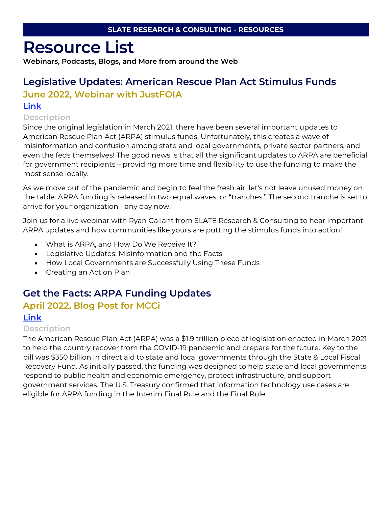# **Resource List**

**Webinars, Podcasts, Blogs, and More from around the Web**

# **Legislative Updates: American Rescue Plan Act Stimulus Funds**

## **June 2022, Webinar with JustFOIA**

### **[Link](https://go.justfoia.com/wbr-arpa-update)**

### **Description**

Since the original legislation in March 2021, there have been several important updates to American Rescue Plan Act (ARPA) stimulus funds. Unfortunately, this creates a wave of misinformation and confusion among state and local governments, private sector partners, and even the feds themselves! The good news is that all the significant updates to ARPA are beneficial for government recipients – providing more time and flexibility to use the funding to make the most sense locally.

As we move out of the pandemic and begin to feel the fresh air, let's not leave unused money on the table. ARPA funding is released in two equal waves, or "tranches." The second tranche is set to arrive for your organization - any day now.

Join us for a live webinar with Ryan Gallant from SLATE Research & Consulting to hear important ARPA updates and how communities like yours are putting the stimulus funds into action!

- What is ARPA, and How Do We Receive It?
- Legislative Updates: Misinformation and the Facts
- How Local Governments are Successfully Using These Funds
- Creating an Action Plan

## **Get the Facts: ARPA Funding Updates**

## **April 2022, Blog Post for MCCi**

### **[Link](https://mccinnovations.com/2022/04/28/get-the-facts-arpa-funding-updates/?utm_source=heyorca&utm_medium=social&utm_campaign=arpa_funding_updates)**

#### **Description**

The American Rescue Plan Act (ARPA) was a \$1.9 trillion piece of legislation enacted in March 2021 to help the country recover from the COVID-19 pandemic and prepare for the future. Key to the bill was \$350 billion in direct aid to state and local governments through the State & Local Fiscal Recovery Fund. As initially passed, the funding was designed to help state and local governments respond to public health and economic emergency, protect infrastructure, and support government services. The U.S. Treasury confirmed that information technology use cases are eligible for ARPA funding in the Interim Final Rule and the Final Rule.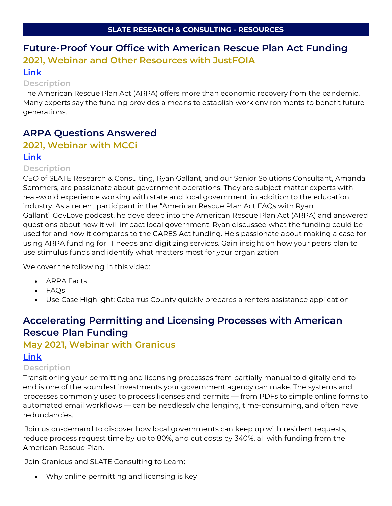## **Future-Proof Your Office with American Rescue Plan Act Funding 2021, Webinar and Other Resources with JustFOIA [Link](https://www.justfoia.com/resources/future-proof-your-office-with-american-rescue-plan-act-funding/)**

#### **Description**

The American Rescue Plan Act (ARPA) offers more than economic recovery from the pandemic. Many experts say the funding provides a means to establish work environments to benefit future generations.

## **ARPA Questions Answered**

## **2021, Webinar with MCCi**

#### **[Link](https://mccinnovations.com/resource/american-rescue-plan-act-ask-the-experts-with-slate-research/?utm_source=heyorca&utm_medium=social&utm_campaign=arpa_funding_updates)**

#### **Description**

CEO of SLATE Research & Consulting, Ryan Gallant, and our Senior Solutions Consultant, Amanda Sommers, are passionate about government operations. They are subject matter experts with real-world experience working with state and local government, in addition to the education industry. As a recent participant in the "American Rescue Plan Act FAQs with Ryan Gallant" GovLove podcast, he dove deep into the American Rescue Plan Act (ARPA) and answered questions about how it will impact local government. Ryan discussed what the funding could be used for and how it compares to the CARES Act funding. He's passionate about making a case for using ARPA funding for IT needs and digitizing services. Gain insight on how your peers plan to use stimulus funds and identify what matters most for your organization

We cover the following in this video:

- ARPA Facts
- FAQs
- Use Case Highlight: Cabarrus County quickly prepares a renters assistance application

## **Accelerating Permitting and Licensing Processes with American Rescue Plan Funding**

# **May 2021, Webinar with Granicus**

## **[Link](https://granicus.com/resource/accelerating-permitting-and-licensing-processes-with-arpa-funding/)**

#### **Description**

Transitioning your permitting and licensing processes from partially manual to digitally end-toend is one of the soundest investments your government agency can make. The systems and processes commonly used to process licenses and permits — from PDFs to simple online forms to automated email workflows — can be needlessly challenging, time-consuming, and often have redundancies.

Join us on-demand to discover how local governments can keep up with resident requests, reduce process request time by up to 80%, and cut costs by 340%, all with funding from the American Rescue Plan.

Join Granicus and SLATE Consulting to Learn:

• Why online permitting and licensing is key